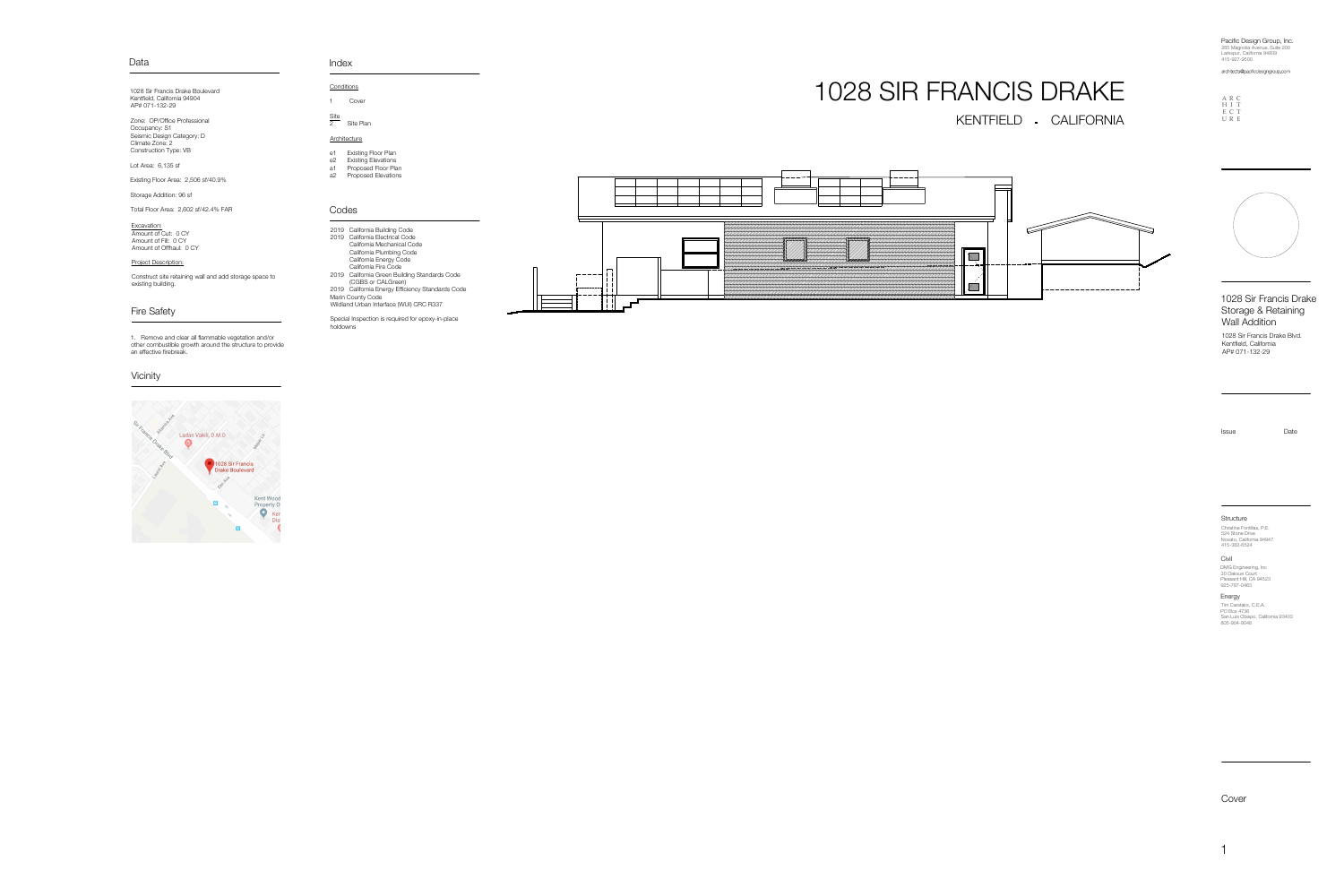Cover

Site **Site** and the state of the state of the state of the state of the state of the state of the state of the state of the state of the state of the state of the state of the state of the state of the state of the state o 2 Site Plan

### **Architecture**

1 Cover

|     | e1 Existing Floor Plan        |  |
|-----|-------------------------------|--|
|     | e2 Existing Elevations        |  |
| - 4 | Duais a a a al-Fla a u-Dlais. |  |

a1 Proposed Floor Plan a2 Proposed Elevations

Project Description:

Construct site retaining wall and add storage space to existing building.

### Fire Safety

### Codes

# KENTFIELD - CALIFORNIA 1028 SIR FRANCIS DRAKE



1028 Sir Francis Drake Boulevard Kentfield, California 94904 AP# 071-132-29

> **Structure** Christine Fontillas, P.E. 524 Stone Drive Novato, California 94947 415-382-6524

Zone: OP/Office Professional Occupancy: S1 Seismic Design Category: D Climate Zone: 2 Construction Type: VB

Lot Area: 6,135 sf

**Civil** DMG Engineering, Inc 30 Oakvue Court Pleasant Hill, CA 94523 925-787-0463

Existing Floor Area: 2,506 sf/40.9%

Storage Addition: 96 sf

Total Floor Area: 2,602 sf/42.4% FAR

1. Remove and clear all flammable vegetation and/or other combustible growth around the structure to provide an effective firebreak.

**Vicinity** 

1028 Sir Francis Drake Storage & Retaining Wall Addition

Energy Tim Carstairs, C.E.A. PO Box 4736 San Luis Obispo, California 93403 805-904-9048

| 2019 California Building Code                    |
|--------------------------------------------------|
| 2019 California Electrical Code                  |
| California Mechanical Code                       |
| California Plumbing Code                         |
| California Energy Code                           |
| California Fire Code                             |
| 2019 California Green Building Standards Code    |
| (CGBS or CALGreen)                               |
| 2019 California Energy Efficiency Standards Code |
| Marin County Code                                |
| Wildland Urban Interface (WUI) CRC R337          |
|                                                  |

Special Inspection is required for epoxy-in-place holdowns



Issue Date

Larkspur, California 94939 415-927-9500

265 Magnolia Avenue, Suite 200 Pacific Design Group, Inc.

architects@pacificdesigngroup.com

1028 Sir Francis Drake Blvd. Kentfield, California AP# 071-132-29

A R C H I T

> E C T U R E



### Data **Index**

**Conditions** 

Excavation: Amount of Cut: 0 CY Amount of Fill: 0 CY Amount of Offhaul: 0 CY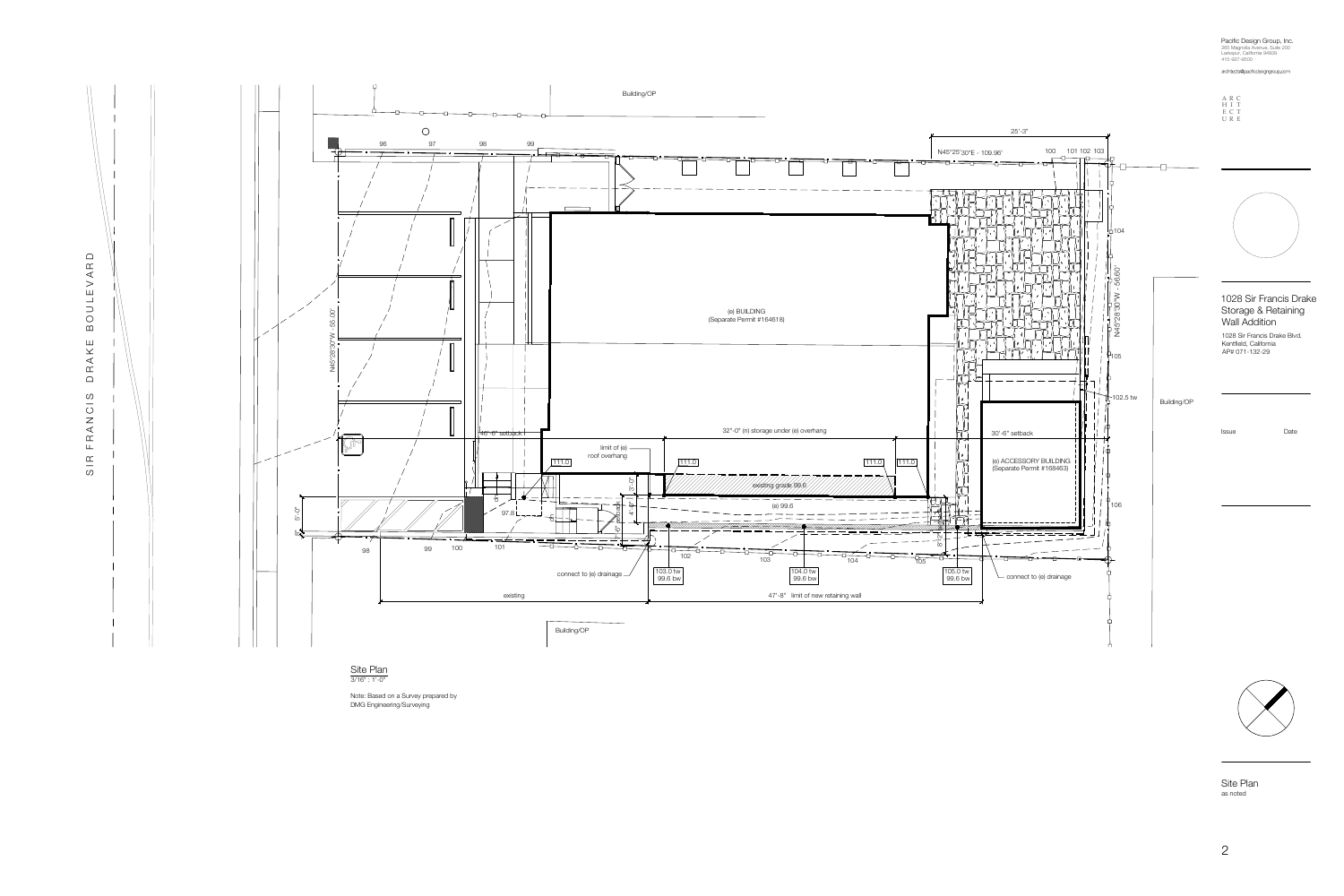Site Plan as noted

**Site Plan** 3/16" : 1'-0"

Larkspur, California 94939 415-927-9500

265 Magnolia Avenue, Suite 200 Pacific Design Group, Inc.

architects@pacificdesigngroup.com



Note: Based on a Survey prepared by DMG Engineering/Surveying



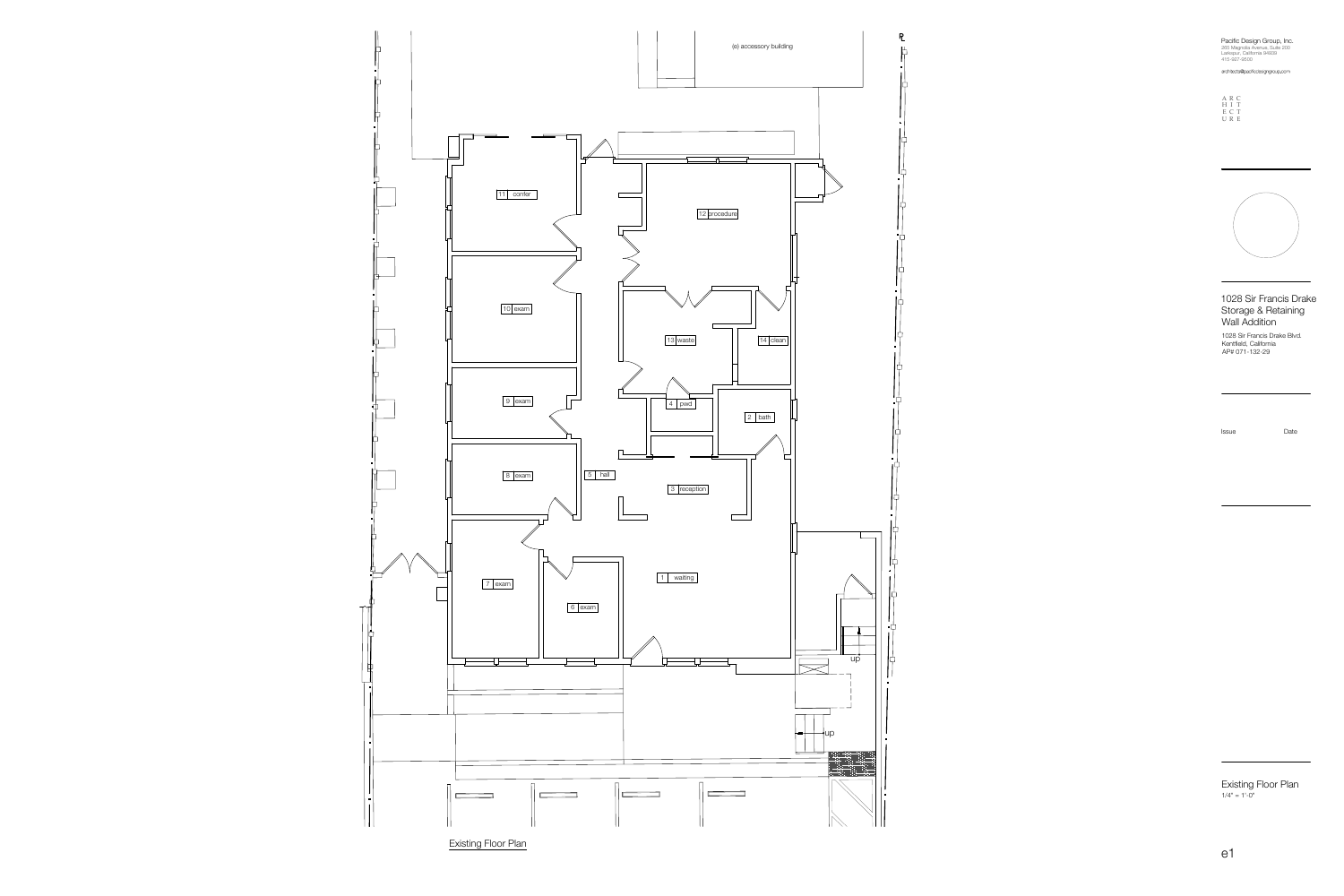265 Magnolia Avenue, Suite 200 Larkspur, California 94939 Pacific Design Group, Inc.

415-927-9500 architects@pacificdesigngroup.com

Existing Floor Plan  $1/4" = 1'-0"$ 

### 1028 Sir Francis Drake Storage & Retaining Wall Addition

1028 Sir Francis Drake Blvd. Kentfield, California AP# 071-132-29







**Existing Floor Plan**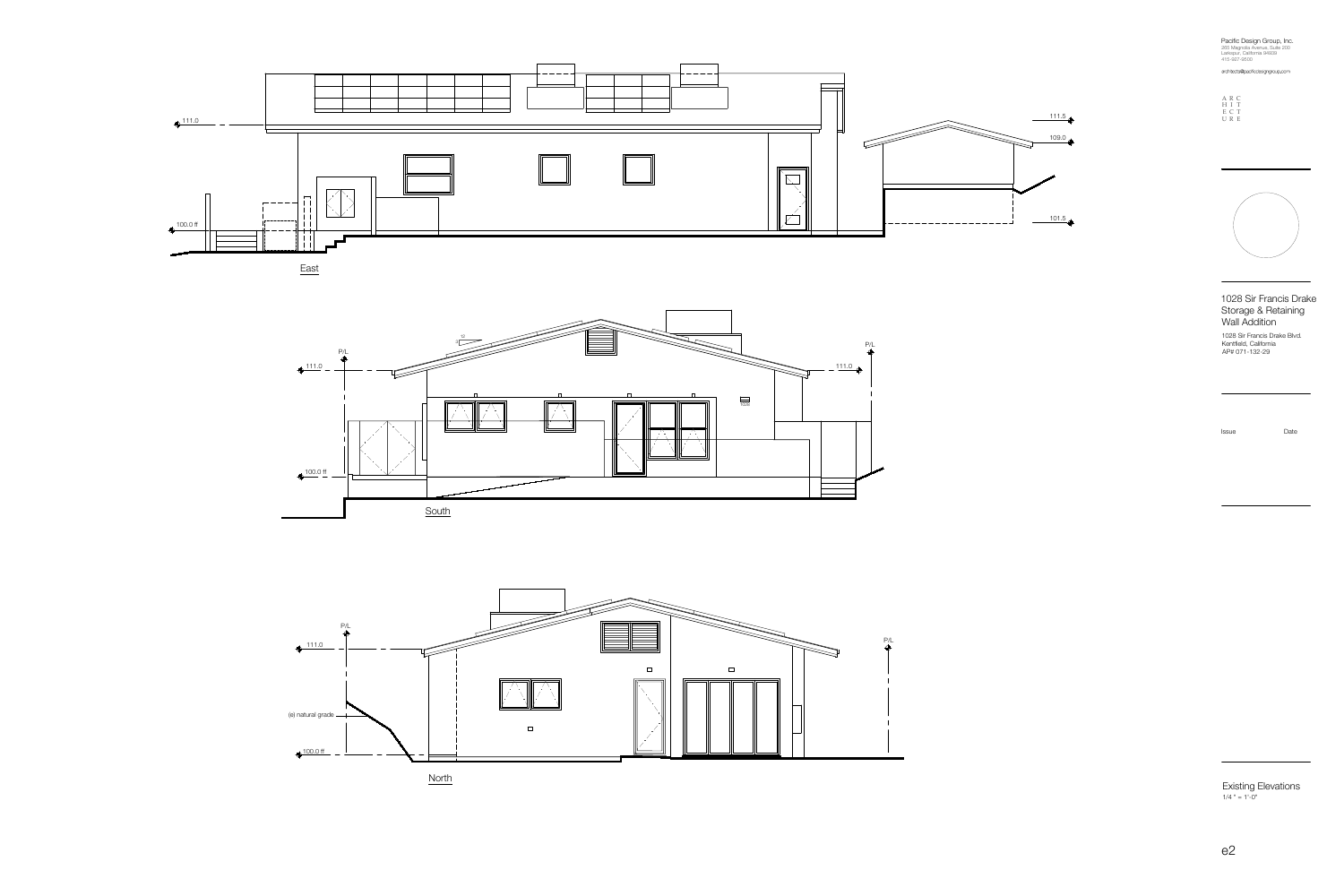265 Magnolia Avenue, Suite 200 Larkspur, California 94939 Pacific Design Group, Inc.

415-927-9500 architects@pacificdesigngroup.com

Existing Elevations  $1/4$  " = 1'-0"

1028 Sir Francis Drake Storage & Retaining Wall Addition

1028 Sir Francis Drake Blvd. Kentfield, California









**North** 



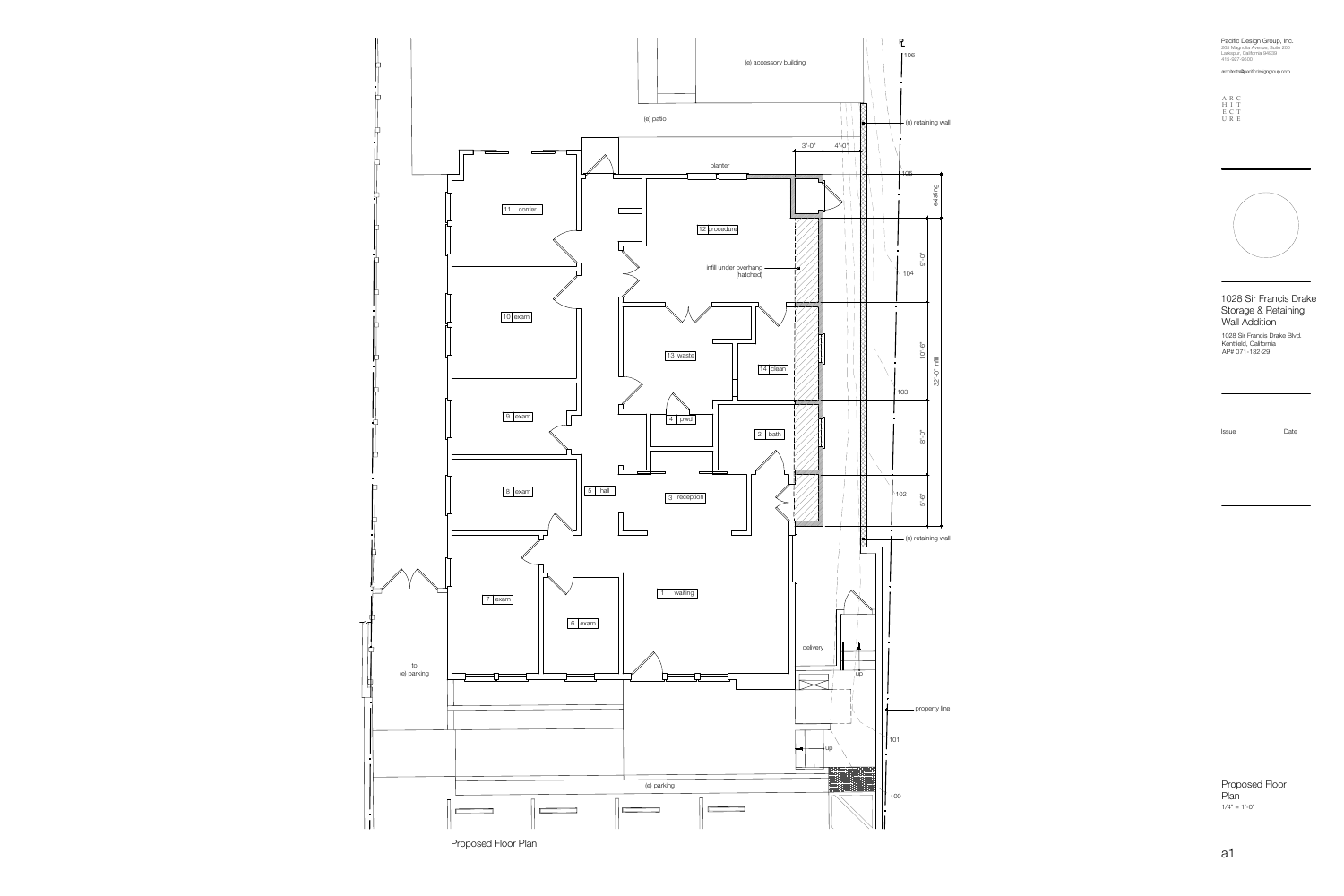### 1028 Sir Francis Drake Storage & Retaining Wall Addition

265 Magnolia Avenue, Suite 200 Larkspur, California 94939 Pacific Design Group, Inc.

415-927-9500 architects@pacificdesigngroup.com



## Proposed Floor Plan **Planet According to the Second Street**

1028 Sir Francis Drake Blvd. Kentfield, California AP# 071-132-29

A R C H I T E C T U R E



existing